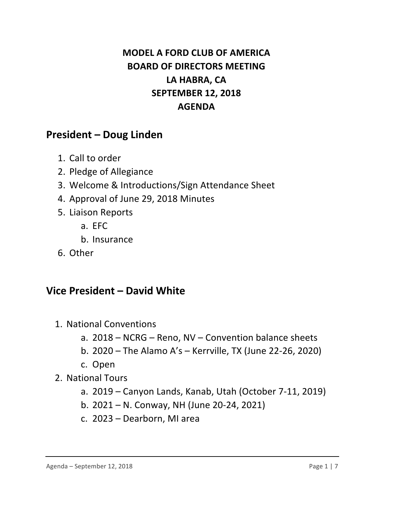# **MODEL A FORD CLUB OF AMERICA BOARD OF DIRECTORS MEETING** LA HABRA, CA **SEPTEMBER 12, 2018 AGENDA**

#### **President – Doug Linden**

- 1. Call to order
- 2. Pledge of Allegiance
- 3. Welcome & Introductions/Sign Attendance Sheet
- 4. Approval of June 29, 2018 Minutes
- 5. Liaison Reports
	- a. EFC
	- b. Insurance
- 6. Other

#### **Vice President – David White**

- 1. National Conventions
	- a.  $2018$  NCRG Reno, NV Convention balance sheets
	- b.  $2020 -$  The Alamo A's Kerrville, TX (June 22-26, 2020)
	- c. Open
- 2. National Tours
	- a.  $2019$  Canyon Lands, Kanab, Utah (October 7-11, 2019)
	- b.  $2021 N$ . Conway, NH (June 20-24, 2021)
	- c. 2023 Dearborn, MI area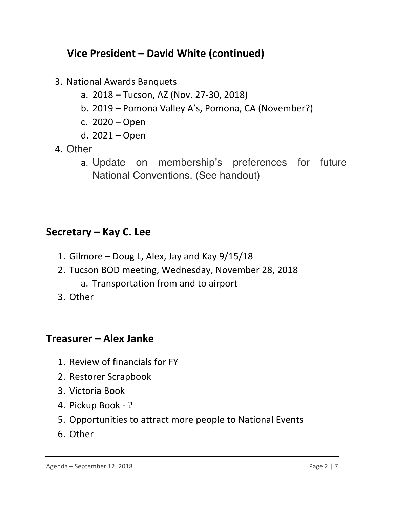## **Yice President – David White (continued)**

- 3. National Awards Banquets
	- a. 2018 Tucson, AZ (Nov. 27-30, 2018)
	- b. 2019 Pomona Valley A's, Pomona, CA (November?)
	- c.  $2020 Open$
	- d. 2021 Open
- 4. Other
	- a. Update on membership's preferences for future National Conventions. (See handout)

### **Secretary – Kay C. Lee**

- 1. Gilmore Doug L, Alex, Jay and Kay  $9/15/18$
- 2. Tucson BOD meeting, Wednesday, November 28, 2018
	- a. Transportation from and to airport
- 3. Other

#### **Treasurer – Alex Janke**

- 1. Review of financials for FY
- 2. Restorer Scrapbook
- 3. Victoria Book
- 4. Pickup Book ?
- 5. Opportunities to attract more people to National Events
- 6. Other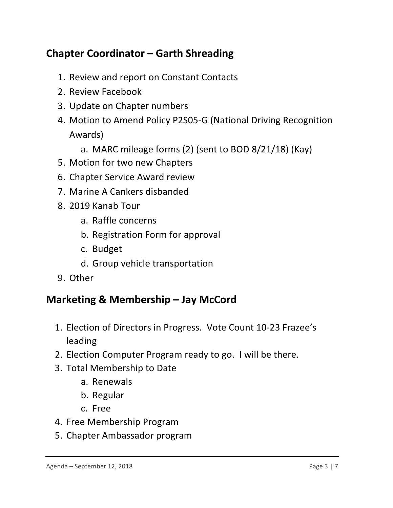## **Chapter Coordinator – Garth Shreading**

- 1. Review and report on Constant Contacts
- 2. Review Facebook
- 3. Update on Chapter numbers
- 4. Motion to Amend Policy P2S05-G (National Driving Recognition Awards)
	- a. MARC mileage forms  $(2)$  (sent to BOD 8/21/18) (Kay)
- 5. Motion for two new Chapters
- 6. Chapter Service Award review
- 7. Marine A Cankers disbanded
- 8. 2019 Kanab Tour
	- a. Raffle concerns
	- b. Registration Form for approval
	- c. Budget
	- d. Group vehicle transportation
- 9. Other

### **Marketing & Membership – Jay McCord**

- 1. Election of Directors in Progress. Vote Count 10-23 Frazee's leading
- 2. Election Computer Program ready to go. I will be there.
- 3. Total Membership to Date
	- a. Renewals
	- b. Regular
	- c. Free
- 4. Free Membership Program
- 5. Chapter Ambassador program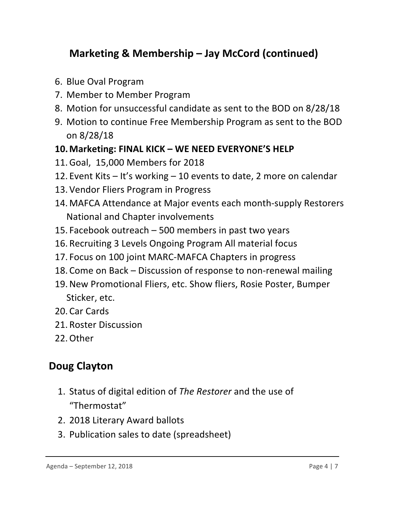# **Marketing & Membership – Jay McCord (continued)**

- 6. Blue Oval Program
- 7. Member to Member Program
- 8. Motion for unsuccessful candidate as sent to the BOD on 8/28/18
- 9. Motion to continue Free Membership Program as sent to the BOD on 8/28/18

#### 10. Marketing: FINAL KICK - WE NEED EVERYONE'S HELP

- 11. Goal, 15,000 Members for 2018
- 12. Event Kits  $-$  It's working  $-$  10 events to date, 2 more on calendar
- 13. Vendor Fliers Program in Progress
- 14. MAFCA Attendance at Major events each month-supply Restorers National and Chapter involvements
- 15. Facebook outreach  $-$  500 members in past two years
- 16. Recruiting 3 Levels Ongoing Program All material focus
- 17. Focus on 100 joint MARC-MAFCA Chapters in progress
- 18. Come on Back Discussion of response to non-renewal mailing
- 19. New Promotional Fliers, etc. Show fliers, Rosie Poster, Bumper Sticker, etc.
- 20. Car Cards
- 21. Roster Discussion
- 22.Other

# **Doug Clayton**

- 1. Status of digital edition of *The Restorer* and the use of "Thermostat"
- 2. 2018 Literary Award ballots
- 3. Publication sales to date (spreadsheet)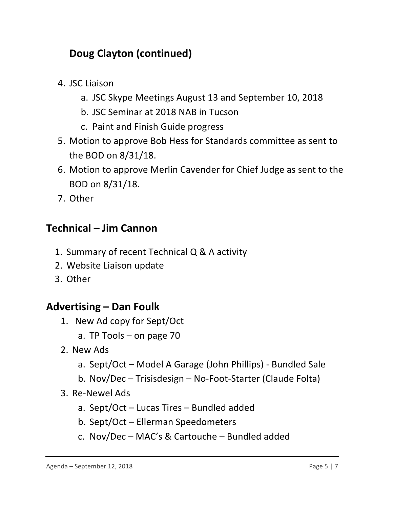# **Doug Clayton (continued)**

- 4. JSC Liaison
	- a. JSC Skype Meetings August 13 and September 10, 2018
	- b. JSC Seminar at 2018 NAB in Tucson
	- c. Paint and Finish Guide progress
- 5. Motion to approve Bob Hess for Standards committee as sent to the BOD on  $8/31/18$ .
- 6. Motion to approve Merlin Cavender for Chief Judge as sent to the BOD on 8/31/18.
- 7. Other

### **Technical – Jim Cannon**

- 1. Summary of recent Technical  $Q & A$  activity
- 2. Website Liaison update
- 3. Other

### **Advertising – Dan Foulk**

- 1. New Ad copy for Sept/Oct
	- a. TP Tools  $-$  on page 70
- 2. New Ads
	- a. Sept/Oct Model A Garage (John Phillips) Bundled Sale
	- b. Nov/Dec Trisisdesign No-Foot-Starter (Claude Folta)
- 3. Re-Newel Ads
	- a. Sept/Oct Lucas Tires Bundled added
	- b. Sept/Oct Ellerman Speedometers
	- c. Nov/Dec MAC's & Cartouche Bundled added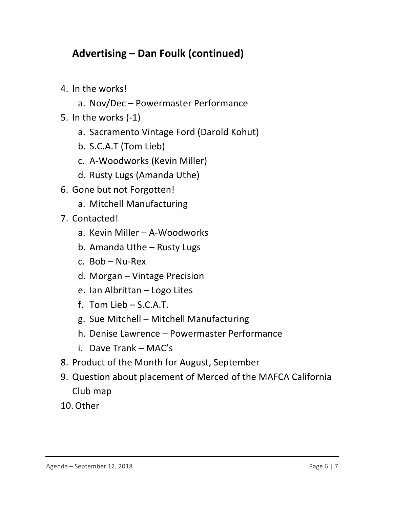# **Advertising – Dan Foulk (continued)**

- 4. In the works!
	- a. Nov/Dec Powermaster Performance
- 5. In the works  $(-1)$ 
	- a. Sacramento Vintage Ford (Darold Kohut)
	- b. S.C.A.T (Tom Lieb)
	- c. A-Woodworks (Kevin Miller)
	- d. Rusty Lugs (Amanda Uthe)
- 6. Gone but not Forgotten!
	- a. Mitchell Manufacturing
- 7. Contacted!
	- a. Kevin Miller A-Woodworks
	- b. Amanda Uthe  $-$  Rusty Lugs
	- c.  $Bob Nu-Rex$
	- d. Morgan Vintage Precision
	- e. Ian Albrittan Logo Lites
	- f. Tom Lieb  $-$  S.C.A.T.
	- g. Sue Mitchell Mitchell Manufacturing
	- h. Denise Lawrence Powermaster Performance
	- $i.$  Dave Trank MAC's
- 8. Product of the Month for August, September
- 9. Question about placement of Merced of the MAFCA California Club map
- 10.Other